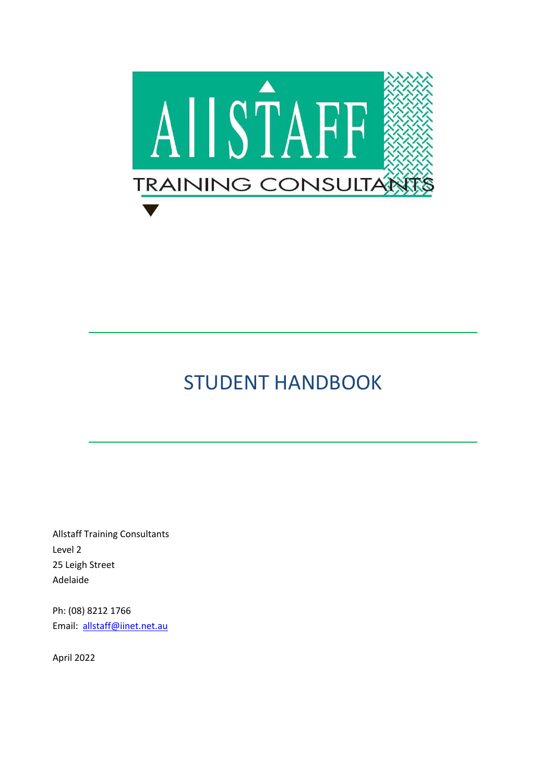

# STUDENT HANDBOOK

Allstaff Training Consultants Level 2 25 Leigh Street Adelaide

Ph: (08) 8212 1766 Email: allstaff@iinet.net.au

April 2022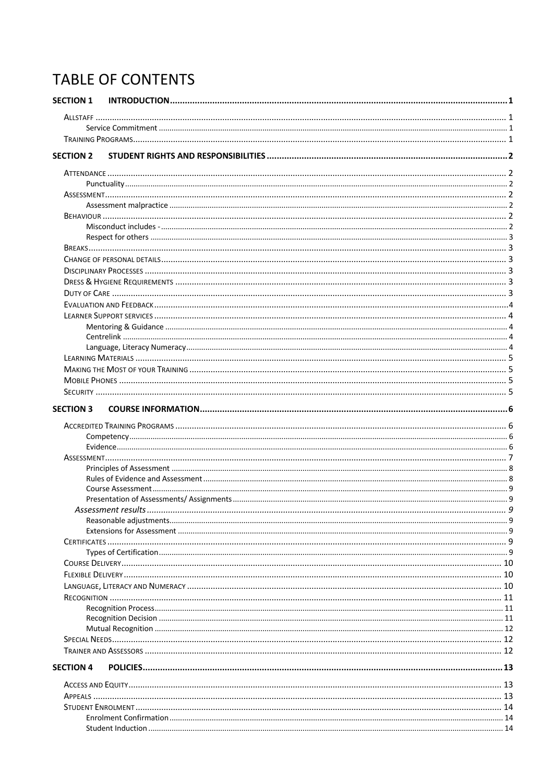## **TABLE OF CONTENTS**

| <b>SECTION 1</b> |  |
|------------------|--|
|                  |  |
|                  |  |
|                  |  |
|                  |  |
| <b>SECTION 2</b> |  |
|                  |  |
|                  |  |
|                  |  |
|                  |  |
|                  |  |
|                  |  |
|                  |  |
|                  |  |
|                  |  |
|                  |  |
|                  |  |
|                  |  |
|                  |  |
|                  |  |
|                  |  |
|                  |  |
|                  |  |
|                  |  |
|                  |  |
|                  |  |
|                  |  |
| <b>SECTION 3</b> |  |
|                  |  |
|                  |  |
|                  |  |
|                  |  |
|                  |  |
|                  |  |
|                  |  |
|                  |  |
|                  |  |
|                  |  |
|                  |  |
|                  |  |
|                  |  |
|                  |  |
|                  |  |
|                  |  |
|                  |  |
|                  |  |
|                  |  |
|                  |  |
|                  |  |
|                  |  |
|                  |  |
| <b>SECTION 4</b> |  |
|                  |  |
|                  |  |
|                  |  |
|                  |  |
|                  |  |
|                  |  |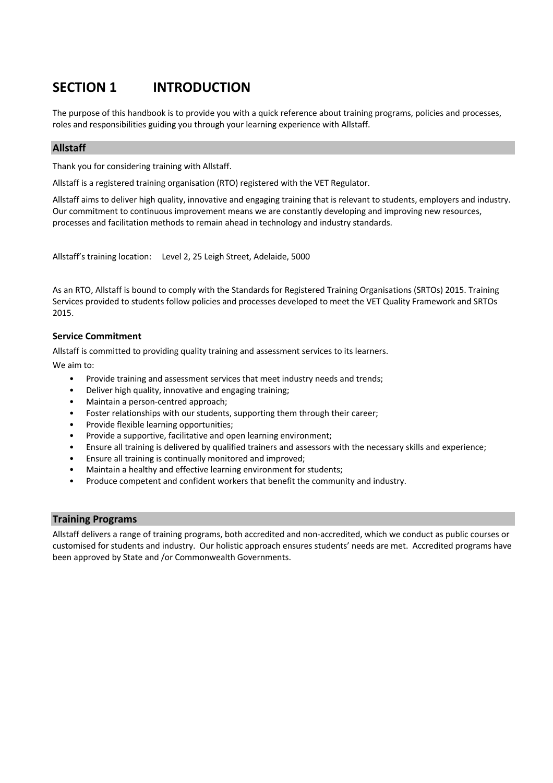### **SECTION 1 INTRODUCTION**

The purpose of this handbook is to provide you with a quick reference about training programs, policies and processes, roles and responsibilities guiding you through your learning experience with Allstaff.

#### **Allstaff**

Thank you for considering training with Allstaff.

Allstaff is a registered training organisation (RTO) registered with the VET Regulator.

Allstaff aims to deliver high quality, innovative and engaging training that is relevant to students, employers and industry. Our commitment to continuous improvement means we are constantly developing and improving new resources, processes and facilitation methods to remain ahead in technology and industry standards.

Allstaff's training location: Level 2, 25 Leigh Street, Adelaide, 5000

As an RTO, Allstaff is bound to comply with the Standards for Registered Training Organisations (SRTOs) 2015. Training Services provided to students follow policies and processes developed to meet the VET Quality Framework and SRTOs 2015.

#### **Service Commitment**

Allstaff is committed to providing quality training and assessment services to its learners.

We aim to:

- Provide training and assessment services that meet industry needs and trends;
- Deliver high quality, innovative and engaging training;
- Maintain a person-centred approach;
- Foster relationships with our students, supporting them through their career;
- Provide flexible learning opportunities;
- Provide a supportive, facilitative and open learning environment;
- Ensure all training is delivered by qualified trainers and assessors with the necessary skills and experience;
- Ensure all training is continually monitored and improved;
- Maintain a healthy and effective learning environment for students;
- Produce competent and confident workers that benefit the community and industry.

#### **Training Programs**

Allstaff delivers a range of training programs, both accredited and non-accredited, which we conduct as public courses or customised for students and industry. Our holistic approach ensures students' needs are met. Accredited programs have been approved by State and /or Commonwealth Governments.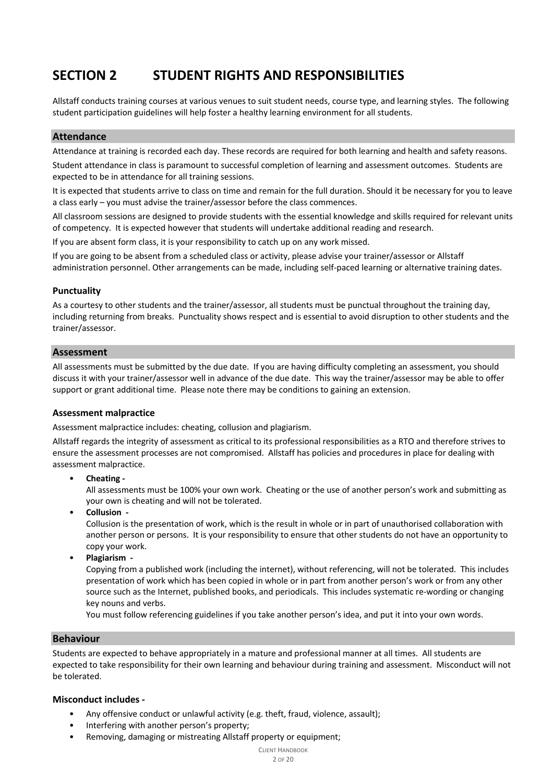## **SECTION 2 STUDENT RIGHTS AND RESPONSIBILITIES**

Allstaff conducts training courses at various venues to suit student needs, course type, and learning styles. The following student participation guidelines will help foster a healthy learning environment for all students.

#### **Attendance**

Attendance at training is recorded each day. These records are required for both learning and health and safety reasons.

Student attendance in class is paramount to successful completion of learning and assessment outcomes. Students are expected to be in attendance for all training sessions.

It is expected that students arrive to class on time and remain for the full duration. Should it be necessary for you to leave a class early – you must advise the trainer/assessor before the class commences.

All classroom sessions are designed to provide students with the essential knowledge and skills required for relevant units of competency. It is expected however that students will undertake additional reading and research.

If you are absent form class, it is your responsibility to catch up on any work missed.

If you are going to be absent from a scheduled class or activity, please advise your trainer/assessor or Allstaff administration personnel. Other arrangements can be made, including self-paced learning or alternative training dates.

#### **Punctuality**

As a courtesy to other students and the trainer/assessor, all students must be punctual throughout the training day, including returning from breaks. Punctuality shows respect and is essential to avoid disruption to other students and the trainer/assessor.

#### **Assessment**

All assessments must be submitted by the due date. If you are having difficulty completing an assessment, you should discuss it with your trainer/assessor well in advance of the due date. This way the trainer/assessor may be able to offer support or grant additional time. Please note there may be conditions to gaining an extension.

#### **Assessment malpractice**

Assessment malpractice includes: cheating, collusion and plagiarism.

Allstaff regards the integrity of assessment as critical to its professional responsibilities as a RTO and therefore strives to ensure the assessment processes are not compromised. Allstaff has policies and procedures in place for dealing with assessment malpractice.

• **Cheating -** 

All assessments must be 100% your own work. Cheating or the use of another person's work and submitting as your own is cheating and will not be tolerated.

• **Collusion -** 

Collusion is the presentation of work, which is the result in whole or in part of unauthorised collaboration with another person or persons. It is your responsibility to ensure that other students do not have an opportunity to copy your work.

• **Plagiarism -** 

Copying from a published work (including the internet), without referencing, will not be tolerated. This includes presentation of work which has been copied in whole or in part from another person's work or from any other source such as the Internet, published books, and periodicals. This includes systematic re-wording or changing key nouns and verbs.

You must follow referencing guidelines if you take another person's idea, and put it into your own words.

#### **Behaviour**

Students are expected to behave appropriately in a mature and professional manner at all times. All students are expected to take responsibility for their own learning and behaviour during training and assessment. Misconduct will not be tolerated.

#### **Misconduct includes -**

- Any offensive conduct or unlawful activity (e.g. theft, fraud, violence, assault);
- Interfering with another person's property;
- Removing, damaging or mistreating Allstaff property or equipment;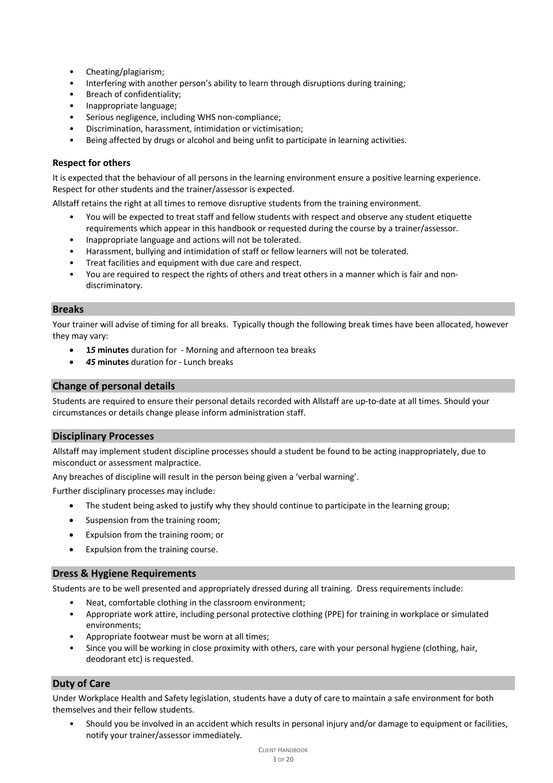- Cheating/plagiarism;
- Interfering with another person's ability to learn through disruptions during training;
- Breach of confidentiality;
- Inappropriate language;
- Serious negligence, including WHS non-compliance;
- Discrimination, harassment, intimidation or victimisation;
- Being affected by drugs or alcohol and being unfit to participate in learning activities.

#### **Respect for others**

It is expected that the behaviour of all persons in the learning environment ensure a positive learning experience. Respect for other students and the trainer/assessor is expected.

Allstaff retains the right at all times to remove disruptive students from the training environment.

- You will be expected to treat staff and fellow students with respect and observe any student etiquette requirements which appear in this handbook or requested during the course by a trainer/assessor.
- Inappropriate language and actions will not be tolerated.
- Harassment, bullying and intimidation of staff or fellow learners will not be tolerated.
- Treat facilities and equipment with due care and respect.
- You are required to respect the rights of others and treat others in a manner which is fair and nondiscriminatory.

#### **Breaks**

Your trainer will advise of timing for all breaks. Typically though the following break times have been allocated, however they may vary:

- **1***5* **minutes** duration for Morning and afternoon tea breaks
- *45* **minutes** duration for Lunch breaks

#### **Change of personal details**

Students are required to ensure their personal details recorded with Allstaff are up-to-date at all times. Should your circumstances or details change please inform administration staff.

#### **Disciplinary Processes**

Allstaff may implement student discipline processes should a student be found to be acting inappropriately, due to misconduct or assessment malpractice.

Any breaches of discipline will result in the person being given a 'verbal warning'.

Further disciplinary processes may include:

- The student being asked to justify why they should continue to participate in the learning group;
- Suspension from the training room;
- Expulsion from the training room; or
- Expulsion from the training course.

#### **Dress & Hygiene Requirements**

Students are to be well presented and appropriately dressed during all training. Dress requirements include:

- Neat, comfortable clothing in the classroom environment;
- Appropriate work attire, including personal protective clothing (PPE) for training in workplace or simulated environments;
- Appropriate footwear must be worn at all times;
- Since you will be working in close proximity with others, care with your personal hygiene (clothing, hair, deodorant etc) is requested.

#### **Duty of Care**

Under Workplace Health and Safety legislation, students have a duty of care to maintain a safe environment for both themselves and their fellow students.

• Should you be involved in an accident which results in personal injury and/or damage to equipment or facilities, notify your trainer/assessor immediately.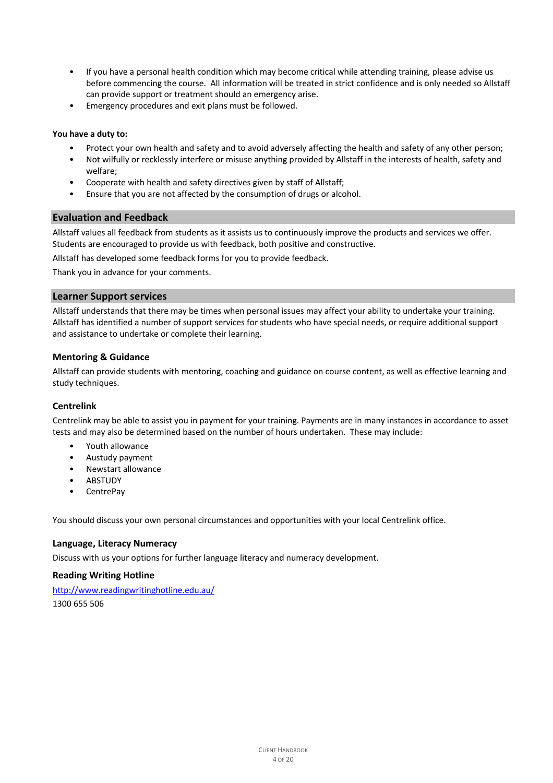- If you have a personal health condition which may become critical while attending training, please advise us before commencing the course. All information will be treated in strict confidence and is only needed so Allstaff can provide support or treatment should an emergency arise.
- Emergency procedures and exit plans must be followed.

#### **You have a duty to:**

- Protect your own health and safety and to avoid adversely affecting the health and safety of any other person;
- Not wilfully or recklessly interfere or misuse anything provided by Allstaff in the interests of health, safety and welfare;
- Cooperate with health and safety directives given by staff of Allstaff;
- Ensure that you are not affected by the consumption of drugs or alcohol.

#### **Evaluation and Feedback**

Allstaff values all feedback from students as it assists us to continuously improve the products and services we offer. Students are encouraged to provide us with feedback, both positive and constructive.

Allstaff has developed some feedback forms for you to provide feedback.

Thank you in advance for your comments.

#### **Learner Support services**

Allstaff understands that there may be times when personal issues may affect your ability to undertake your training. Allstaff has identified a number of support services for students who have special needs, or require additional support and assistance to undertake or complete their learning.

#### **Mentoring & Guidance**

Allstaff can provide students with mentoring, coaching and guidance on course content, as well as effective learning and study techniques.

#### **Centrelink**

Centrelink may be able to assist you in payment for your training. Payments are in many instances in accordance to asset tests and may also be determined based on the number of hours undertaken. These may include:

- Youth allowance
- Austudy payment
- Newstart allowance
- **ABSTUDY**
- CentrePay

You should discuss your own personal circumstances and opportunities with your local Centrelink office.

#### **Language, Literacy Numeracy**

Discuss with us your options for further language literacy and numeracy development.

#### **Reading Writing Hotline**

http://www.readingwritinghotline.edu.au/ 1300 655 506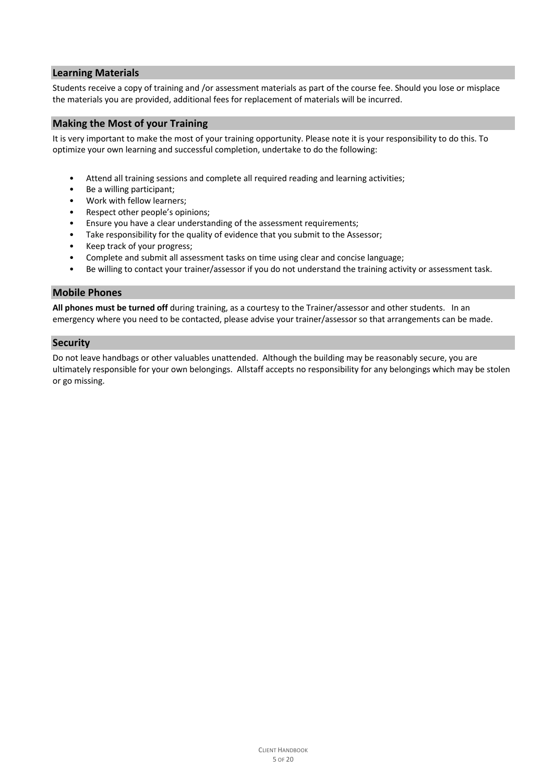#### **Learning Materials**

Students receive a copy of training and /or assessment materials as part of the course fee. Should you lose or misplace the materials you are provided, additional fees for replacement of materials will be incurred.

#### **Making the Most of your Training**

It is very important to make the most of your training opportunity. Please note it is your responsibility to do this. To optimize your own learning and successful completion, undertake to do the following:

- Attend all training sessions and complete all required reading and learning activities;
- Be a willing participant;
- Work with fellow learners;
- Respect other people's opinions;
- Ensure you have a clear understanding of the assessment requirements;
- Take responsibility for the quality of evidence that you submit to the Assessor;
- Keep track of your progress;
- Complete and submit all assessment tasks on time using clear and concise language;
- Be willing to contact your trainer/assessor if you do not understand the training activity or assessment task.

#### **Mobile Phones**

**All phones must be turned off** during training, as a courtesy to the Trainer/assessor and other students. In an emergency where you need to be contacted, please advise your trainer/assessor so that arrangements can be made.

#### **Security**

Do not leave handbags or other valuables unattended. Although the building may be reasonably secure, you are ultimately responsible for your own belongings. Allstaff accepts no responsibility for any belongings which may be stolen or go missing.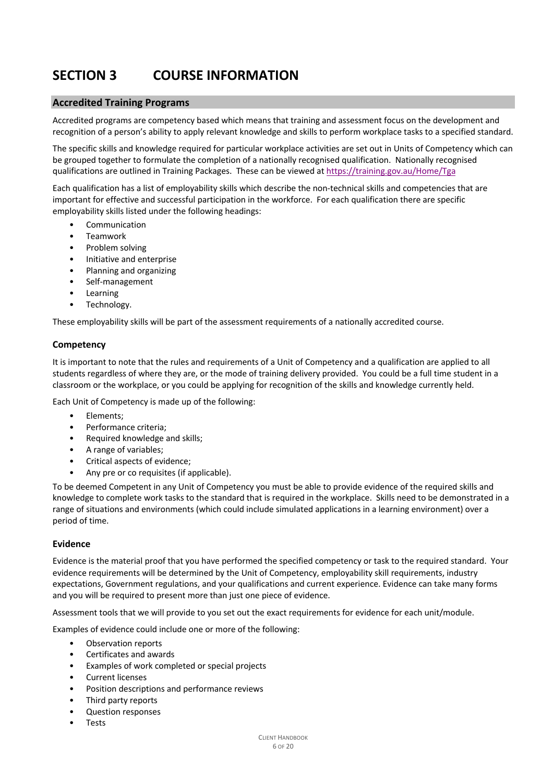## **SECTION 3 COURSE INFORMATION**

#### **Accredited Training Programs**

Accredited programs are competency based which means that training and assessment focus on the development and recognition of a person's ability to apply relevant knowledge and skills to perform workplace tasks to a specified standard.

The specific skills and knowledge required for particular workplace activities are set out in Units of Competency which can be grouped together to formulate the completion of a nationally recognised qualification. Nationally recognised qualifications are outlined in Training Packages. These can be viewed at https://training.gov.au/Home/Tga

Each qualification has a list of employability skills which describe the non-technical skills and competencies that are important for effective and successful participation in the workforce. For each qualification there are specific employability skills listed under the following headings:

- **Communication**
- Teamwork
- Problem solving
- Initiative and enterprise
- Planning and organizing
- Self-management
- Learning
- Technology.

These employability skills will be part of the assessment requirements of a nationally accredited course.

#### **Competency**

It is important to note that the rules and requirements of a Unit of Competency and a qualification are applied to all students regardless of where they are, or the mode of training delivery provided. You could be a full time student in a classroom or the workplace, or you could be applying for recognition of the skills and knowledge currently held.

Each Unit of Competency is made up of the following:

- Elements;
- Performance criteria;
- Required knowledge and skills;
- A range of variables;
- Critical aspects of evidence;
- Any pre or co requisites (if applicable).

To be deemed Competent in any Unit of Competency you must be able to provide evidence of the required skills and knowledge to complete work tasks to the standard that is required in the workplace. Skills need to be demonstrated in a range of situations and environments (which could include simulated applications in a learning environment) over a period of time.

#### **Evidence**

Evidence is the material proof that you have performed the specified competency or task to the required standard. Your evidence requirements will be determined by the Unit of Competency, employability skill requirements, industry expectations, Government regulations, and your qualifications and current experience. Evidence can take many forms and you will be required to present more than just one piece of evidence.

Assessment tools that we will provide to you set out the exact requirements for evidence for each unit/module.

Examples of evidence could include one or more of the following:

- Observation reports
- Certificates and awards
- Examples of work completed or special projects
- Current licenses
- Position descriptions and performance reviews
- Third party reports
- Question responses
- Tests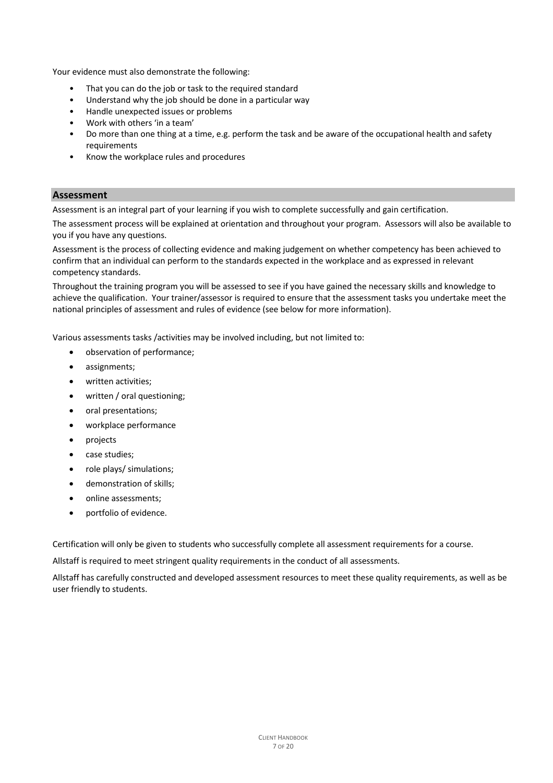Your evidence must also demonstrate the following:

- That you can do the job or task to the required standard
- Understand why the job should be done in a particular way
- Handle unexpected issues or problems
- Work with others 'in a team'
- Do more than one thing at a time, e.g. perform the task and be aware of the occupational health and safety requirements
- Know the workplace rules and procedures

#### **Assessment**

Assessment is an integral part of your learning if you wish to complete successfully and gain certification.

The assessment process will be explained at orientation and throughout your program. Assessors will also be available to you if you have any questions.

Assessment is the process of collecting evidence and making judgement on whether competency has been achieved to confirm that an individual can perform to the standards expected in the workplace and as expressed in relevant competency standards.

Throughout the training program you will be assessed to see if you have gained the necessary skills and knowledge to achieve the qualification. Your trainer/assessor is required to ensure that the assessment tasks you undertake meet the national principles of assessment and rules of evidence (see below for more information).

Various assessments tasks /activities may be involved including, but not limited to:

- observation of performance;
- assignments;
- written activities;
- written / oral questioning:
- oral presentations;
- workplace performance
- projects
- case studies;
- role plays/ simulations;
- demonstration of skills;
- online assessments;
- portfolio of evidence.

Certification will only be given to students who successfully complete all assessment requirements for a course.

Allstaff is required to meet stringent quality requirements in the conduct of all assessments.

Allstaff has carefully constructed and developed assessment resources to meet these quality requirements, as well as be user friendly to students.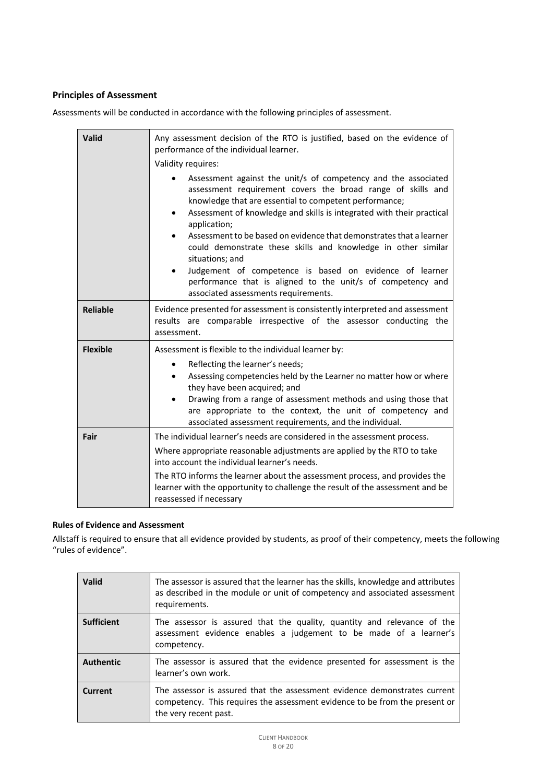#### **Principles of Assessment**

Assessments will be conducted in accordance with the following principles of assessment.

| Valid           | Any assessment decision of the RTO is justified, based on the evidence of<br>performance of the individual learner.<br>Validity requires:<br>Assessment against the unit/s of competency and the associated<br>assessment requirement covers the broad range of skills and<br>knowledge that are essential to competent performance;<br>Assessment of knowledge and skills is integrated with their practical<br>application;<br>Assessment to be based on evidence that demonstrates that a learner<br>$\bullet$<br>could demonstrate these skills and knowledge in other similar<br>situations; and<br>Judgement of competence is based on evidence of learner<br>$\bullet$<br>performance that is aligned to the unit/s of competency and<br>associated assessments requirements. |  |
|-----------------|--------------------------------------------------------------------------------------------------------------------------------------------------------------------------------------------------------------------------------------------------------------------------------------------------------------------------------------------------------------------------------------------------------------------------------------------------------------------------------------------------------------------------------------------------------------------------------------------------------------------------------------------------------------------------------------------------------------------------------------------------------------------------------------|--|
| <b>Reliable</b> | Evidence presented for assessment is consistently interpreted and assessment<br>results are comparable irrespective of the assessor conducting the<br>assessment.                                                                                                                                                                                                                                                                                                                                                                                                                                                                                                                                                                                                                    |  |
| <b>Flexible</b> | Assessment is flexible to the individual learner by:<br>Reflecting the learner's needs;<br>$\bullet$<br>Assessing competencies held by the Learner no matter how or where<br>$\bullet$<br>they have been acquired; and<br>Drawing from a range of assessment methods and using those that<br>٠<br>are appropriate to the context, the unit of competency and<br>associated assessment requirements, and the individual.                                                                                                                                                                                                                                                                                                                                                              |  |
| Fair            | The individual learner's needs are considered in the assessment process.<br>Where appropriate reasonable adjustments are applied by the RTO to take<br>into account the individual learner's needs.<br>The RTO informs the learner about the assessment process, and provides the<br>learner with the opportunity to challenge the result of the assessment and be<br>reassessed if necessary                                                                                                                                                                                                                                                                                                                                                                                        |  |

#### **Rules of Evidence and Assessment**

Allstaff is required to ensure that all evidence provided by students, as proof of their competency, meets the following "rules of evidence".

| Valid             | The assessor is assured that the learner has the skills, knowledge and attributes<br>as described in the module or unit of competency and associated assessment<br>requirements.  |
|-------------------|-----------------------------------------------------------------------------------------------------------------------------------------------------------------------------------|
| <b>Sufficient</b> | The assessor is assured that the quality, quantity and relevance of the<br>assessment evidence enables a judgement to be made of a learner's<br>competency.                       |
| <b>Authentic</b>  | The assessor is assured that the evidence presented for assessment is the<br>learner's own work.                                                                                  |
| <b>Current</b>    | The assessor is assured that the assessment evidence demonstrates current<br>competency. This requires the assessment evidence to be from the present or<br>the very recent past. |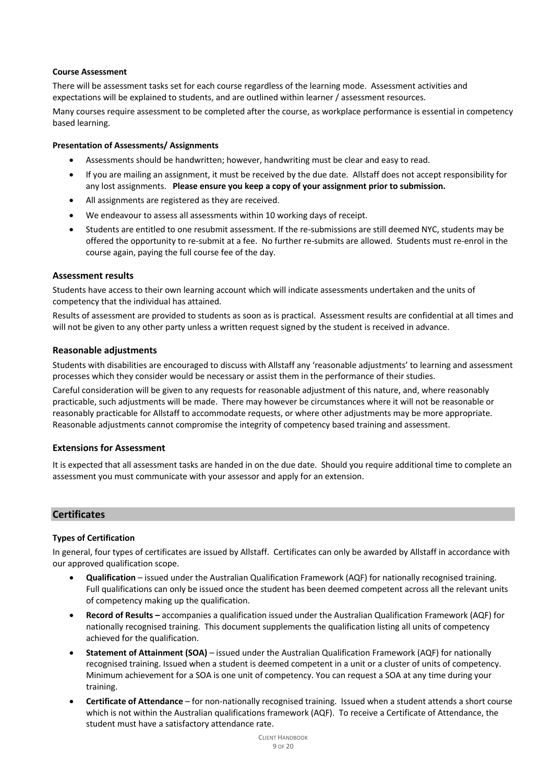#### **Course Assessment**

There will be assessment tasks set for each course regardless of the learning mode. Assessment activities and expectations will be explained to students, and are outlined within learner / assessment resources.

Many courses require assessment to be completed after the course, as workplace performance is essential in competency based learning.

#### **Presentation of Assessments/ Assignments**

- Assessments should be handwritten; however, handwriting must be clear and easy to read.
- If you are mailing an assignment, it must be received by the due date. Allstaff does not accept responsibility for any lost assignments. **Please ensure you keep a copy of your assignment prior to submission.**
- All assignments are registered as they are received.
- We endeavour to assess all assessments within 10 working days of receipt.
- Students are entitled to one resubmit assessment. If the re-submissions are still deemed NYC, students may be offered the opportunity to re-submit at a fee. No further re-submits are allowed. Students must re-enrol in the course again, paying the full course fee of the day.

#### **Assessment results**

Students have access to their own learning account which will indicate assessments undertaken and the units of competency that the individual has attained.

Results of assessment are provided to students as soon as is practical. Assessment results are confidential at all times and will not be given to any other party unless a written request signed by the student is received in advance.

#### **Reasonable adjustments**

Students with disabilities are encouraged to discuss with Allstaff any 'reasonable adjustments' to learning and assessment processes which they consider would be necessary or assist them in the performance of their studies.

Careful consideration will be given to any requests for reasonable adjustment of this nature, and, where reasonably practicable, such adjustments will be made. There may however be circumstances where it will not be reasonable or reasonably practicable for Allstaff to accommodate requests, or where other adjustments may be more appropriate. Reasonable adjustments cannot compromise the integrity of competency based training and assessment.

#### **Extensions for Assessment**

It is expected that all assessment tasks are handed in on the due date. Should you require additional time to complete an assessment you must communicate with your assessor and apply for an extension.

#### **Certificates**

#### **Types of Certification**

In general, four types of certificates are issued by Allstaff. Certificates can only be awarded by Allstaff in accordance with our approved qualification scope.

- **Qualification** issued under the Australian Qualification Framework (AQF) for nationally recognised training. Full qualifications can only be issued once the student has been deemed competent across all the relevant units of competency making up the qualification.
- **Record of Results –** accompanies a qualification issued under the Australian Qualification Framework (AQF) for nationally recognised training. This document supplements the qualification listing all units of competency achieved for the qualification.
- **Statement of Attainment (SOA)**  issued under the Australian Qualification Framework (AQF) for nationally recognised training. Issued when a student is deemed competent in a unit or a cluster of units of competency. Minimum achievement for a SOA is one unit of competency. You can request a SOA at any time during your training.
- **Certificate of Attendance**  for non-nationally recognised training. Issued when a student attends a short course which is not within the Australian qualifications framework (AQF). To receive a Certificate of Attendance, the student must have a satisfactory attendance rate.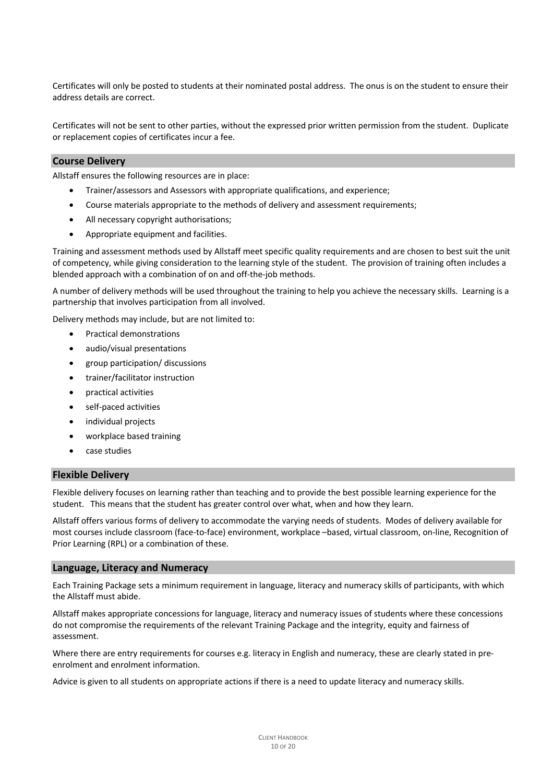Certificates will only be posted to students at their nominated postal address. The onus is on the student to ensure their address details are correct.

Certificates will not be sent to other parties, without the expressed prior written permission from the student. Duplicate or replacement copies of certificates incur a fee.

#### **Course Delivery**

Allstaff ensures the following resources are in place:

- Trainer/assessors and Assessors with appropriate qualifications, and experience;
- Course materials appropriate to the methods of delivery and assessment requirements;
- All necessary copyright authorisations;
- Appropriate equipment and facilities.

Training and assessment methods used by Allstaff meet specific quality requirements and are chosen to best suit the unit of competency, while giving consideration to the learning style of the student. The provision of training often includes a blended approach with a combination of on and off-the-job methods.

A number of delivery methods will be used throughout the training to help you achieve the necessary skills. Learning is a partnership that involves participation from all involved.

Delivery methods may include, but are not limited to:

- Practical demonstrations
- audio/visual presentations
- group participation/ discussions
- trainer/facilitator instruction
- practical activities
- self-paced activities
- individual projects
- workplace based training
- case studies

#### **Flexible Delivery**

Flexible delivery focuses on learning rather than teaching and to provide the best possible learning experience for the student. This means that the student has greater control over what, when and how they learn.

Allstaff offers various forms of delivery to accommodate the varying needs of students. Modes of delivery available for most courses include classroom (face-to-face) environment, workplace –based, virtual classroom, on-line, Recognition of Prior Learning (RPL) or a combination of these.

#### **Language, Literacy and Numeracy**

Each Training Package sets a minimum requirement in language, literacy and numeracy skills of participants, with which the Allstaff must abide.

Allstaff makes appropriate concessions for language, literacy and numeracy issues of students where these concessions do not compromise the requirements of the relevant Training Package and the integrity, equity and fairness of assessment.

Where there are entry requirements for courses e.g. literacy in English and numeracy, these are clearly stated in preenrolment and enrolment information.

Advice is given to all students on appropriate actions if there is a need to update literacy and numeracy skills.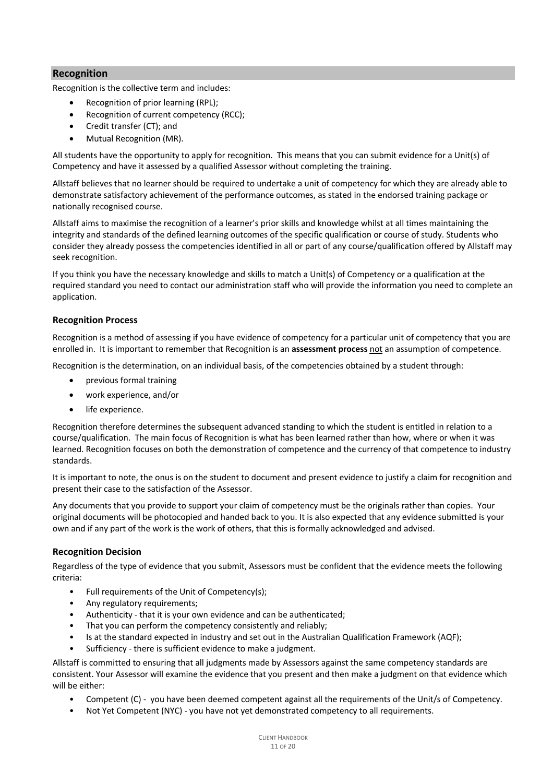#### **Recognition**

Recognition is the collective term and includes:

- Recognition of prior learning (RPL);
- Recognition of current competency (RCC);
- Credit transfer (CT); and
- Mutual Recognition (MR).

All students have the opportunity to apply for recognition. This means that you can submit evidence for a Unit(s) of Competency and have it assessed by a qualified Assessor without completing the training.

Allstaff believes that no learner should be required to undertake a unit of competency for which they are already able to demonstrate satisfactory achievement of the performance outcomes, as stated in the endorsed training package or nationally recognised course.

Allstaff aims to maximise the recognition of a learner's prior skills and knowledge whilst at all times maintaining the integrity and standards of the defined learning outcomes of the specific qualification or course of study. Students who consider they already possess the competencies identified in all or part of any course/qualification offered by Allstaff may seek recognition.

If you think you have the necessary knowledge and skills to match a Unit(s) of Competency or a qualification at the required standard you need to contact our administration staff who will provide the information you need to complete an application.

#### **Recognition Process**

Recognition is a method of assessing if you have evidence of competency for a particular unit of competency that you are enrolled in. It is important to remember that Recognition is an **assessment process** not an assumption of competence.

Recognition is the determination, on an individual basis, of the competencies obtained by a student through:

- previous formal training
- work experience, and/or
- life experience.

Recognition therefore determines the subsequent advanced standing to which the student is entitled in relation to a course/qualification. The main focus of Recognition is what has been learned rather than how, where or when it was learned. Recognition focuses on both the demonstration of competence and the currency of that competence to industry standards.

It is important to note, the onus is on the student to document and present evidence to justify a claim for recognition and present their case to the satisfaction of the Assessor.

Any documents that you provide to support your claim of competency must be the originals rather than copies. Your original documents will be photocopied and handed back to you. It is also expected that any evidence submitted is your own and if any part of the work is the work of others, that this is formally acknowledged and advised.

#### **Recognition Decision**

Regardless of the type of evidence that you submit, Assessors must be confident that the evidence meets the following criteria:

- Full requirements of the Unit of Competency(s);
- Any regulatory requirements;
- Authenticity that it is your own evidence and can be authenticated;
- That you can perform the competency consistently and reliably;
- Is at the standard expected in industry and set out in the Australian Qualification Framework (AQF);
- Sufficiency there is sufficient evidence to make a judgment.

Allstaff is committed to ensuring that all judgments made by Assessors against the same competency standards are consistent. Your Assessor will examine the evidence that you present and then make a judgment on that evidence which will be either:

- Competent (C) you have been deemed competent against all the requirements of the Unit/s of Competency.
- Not Yet Competent (NYC) you have not yet demonstrated competency to all requirements.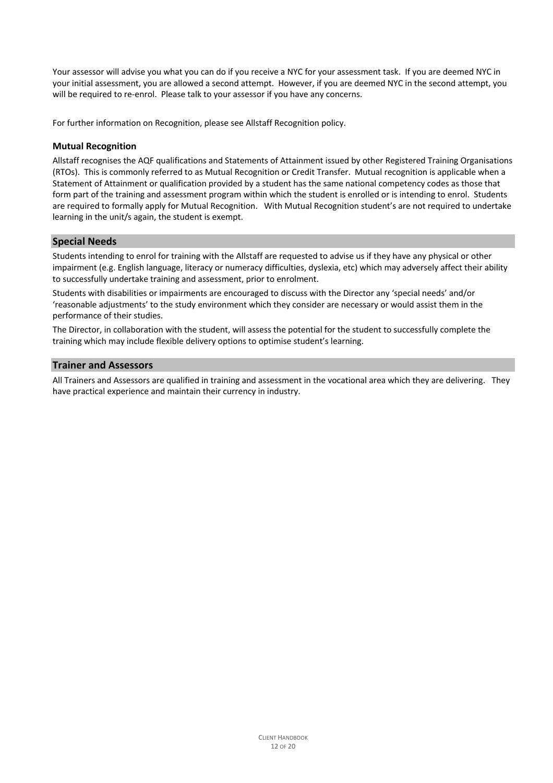Your assessor will advise you what you can do if you receive a NYC for your assessment task. If you are deemed NYC in your initial assessment, you are allowed a second attempt. However, if you are deemed NYC in the second attempt, you will be required to re-enrol. Please talk to your assessor if you have any concerns.

For further information on Recognition, please see Allstaff Recognition policy.

#### **Mutual Recognition**

Allstaff recognises the AQF qualifications and Statements of Attainment issued by other Registered Training Organisations (RTOs). This is commonly referred to as Mutual Recognition or Credit Transfer. Mutual recognition is applicable when a Statement of Attainment or qualification provided by a student has the same national competency codes as those that form part of the training and assessment program within which the student is enrolled or is intending to enrol. Students are required to formally apply for Mutual Recognition. With Mutual Recognition student's are not required to undertake learning in the unit/s again, the student is exempt.

#### **Special Needs**

Students intending to enrol for training with the Allstaff are requested to advise us if they have any physical or other impairment (e.g. English language, literacy or numeracy difficulties, dyslexia, etc) which may adversely affect their ability to successfully undertake training and assessment, prior to enrolment.

Students with disabilities or impairments are encouraged to discuss with the Director any 'special needs' and/or 'reasonable adjustments' to the study environment which they consider are necessary or would assist them in the performance of their studies.

The Director, in collaboration with the student, will assess the potential for the student to successfully complete the training which may include flexible delivery options to optimise student's learning.

#### **Trainer and Assessors**

All Trainers and Assessors are qualified in training and assessment in the vocational area which they are delivering. They have practical experience and maintain their currency in industry.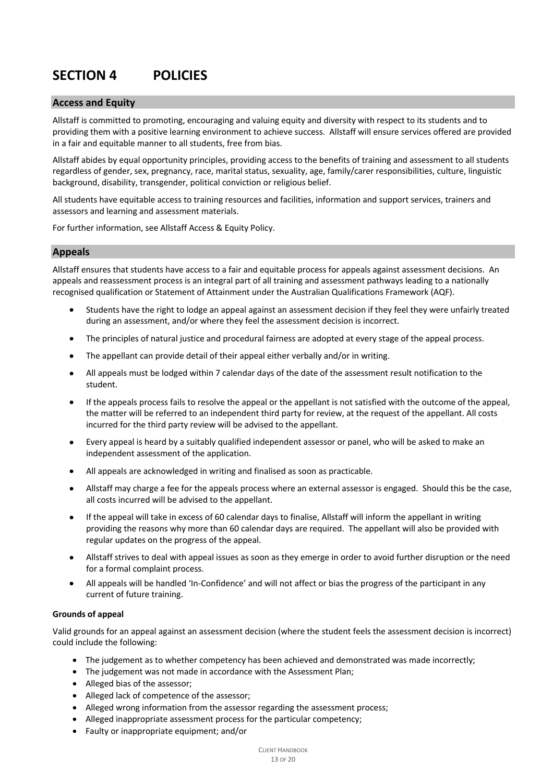## **SECTION 4 POLICIES**

#### **Access and Equity**

Allstaff is committed to promoting, encouraging and valuing equity and diversity with respect to its students and to providing them with a positive learning environment to achieve success. Allstaff will ensure services offered are provided in a fair and equitable manner to all students, free from bias.

Allstaff abides by equal opportunity principles, providing access to the benefits of training and assessment to all students regardless of gender, sex, pregnancy, race, marital status, sexuality, age, family/carer responsibilities, culture, linguistic background, disability, transgender, political conviction or religious belief.

All students have equitable access to training resources and facilities, information and support services, trainers and assessors and learning and assessment materials.

For further information, see Allstaff Access & Equity Policy.

#### **Appeals**

Allstaff ensures that students have access to a fair and equitable process for appeals against assessment decisions. An appeals and reassessment process is an integral part of all training and assessment pathways leading to a nationally recognised qualification or Statement of Attainment under the Australian Qualifications Framework (AQF).

- Students have the right to lodge an appeal against an assessment decision if they feel they were unfairly treated during an assessment, and/or where they feel the assessment decision is incorrect.
- The principles of natural justice and procedural fairness are adopted at every stage of the appeal process.
- The appellant can provide detail of their appeal either verbally and/or in writing.
- All appeals must be lodged within 7 calendar days of the date of the assessment result notification to the student.
- If the appeals process fails to resolve the appeal or the appellant is not satisfied with the outcome of the appeal, the matter will be referred to an independent third party for review, at the request of the appellant. All costs incurred for the third party review will be advised to the appellant.
- Every appeal is heard by a suitably qualified independent assessor or panel, who will be asked to make an independent assessment of the application.
- All appeals are acknowledged in writing and finalised as soon as practicable.
- Allstaff may charge a fee for the appeals process where an external assessor is engaged. Should this be the case, all costs incurred will be advised to the appellant.
- If the appeal will take in excess of 60 calendar days to finalise, Allstaff will inform the appellant in writing providing the reasons why more than 60 calendar days are required. The appellant will also be provided with regular updates on the progress of the appeal.
- Allstaff strives to deal with appeal issues as soon as they emerge in order to avoid further disruption or the need for a formal complaint process.
- All appeals will be handled 'In-Confidence' and will not affect or bias the progress of the participant in any current of future training.

#### **Grounds of appeal**

Valid grounds for an appeal against an assessment decision (where the student feels the assessment decision is incorrect) could include the following:

- The judgement as to whether competency has been achieved and demonstrated was made incorrectly;
- The judgement was not made in accordance with the Assessment Plan;
- Alleged bias of the assessor;
- Alleged lack of competence of the assessor;
- Alleged wrong information from the assessor regarding the assessment process;
- Alleged inappropriate assessment process for the particular competency;
- Faulty or inappropriate equipment; and/or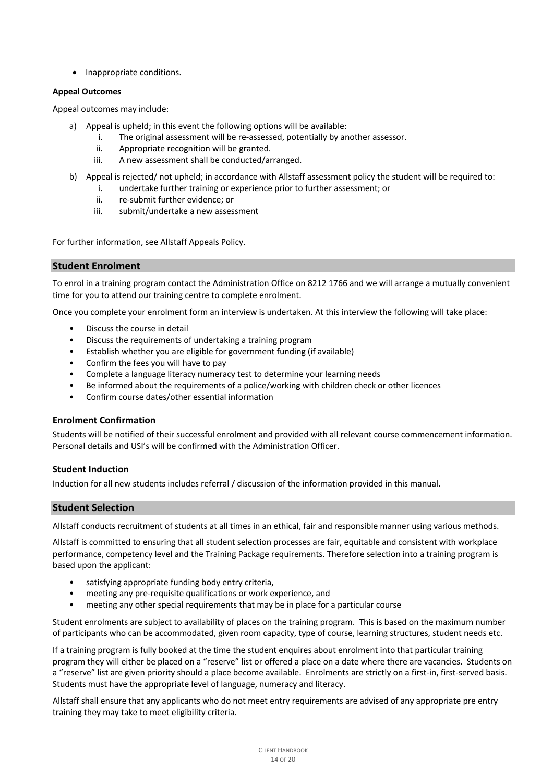• Inappropriate conditions.

#### **Appeal Outcomes**

Appeal outcomes may include:

- a) Appeal is upheld; in this event the following options will be available:
	- i. The original assessment will be re-assessed, potentially by another assessor.
	- ii. Appropriate recognition will be granted.
	- iii. A new assessment shall be conducted/arranged.
- b) Appeal is rejected/ not upheld; in accordance with Allstaff assessment policy the student will be required to:
	- i. undertake further training or experience prior to further assessment; or
	- ii. re-submit further evidence; or
	- iii. submit/undertake a new assessment

For further information, see Allstaff Appeals Policy.

#### **Student Enrolment**

To enrol in a training program contact the Administration Office on 8212 1766 and we will arrange a mutually convenient time for you to attend our training centre to complete enrolment.

Once you complete your enrolment form an interview is undertaken. At this interview the following will take place:

- Discuss the course in detail
- Discuss the requirements of undertaking a training program
- Establish whether you are eligible for government funding (if available)
- Confirm the fees you will have to pay
- Complete a language literacy numeracy test to determine your learning needs
- Be informed about the requirements of a police/working with children check or other licences
- Confirm course dates/other essential information

#### **Enrolment Confirmation**

Students will be notified of their successful enrolment and provided with all relevant course commencement information. Personal details and USI's will be confirmed with the Administration Officer.

#### **Student Induction**

Induction for all new students includes referral / discussion of the information provided in this manual.

#### **Student Selection**

Allstaff conducts recruitment of students at all times in an ethical, fair and responsible manner using various methods.

Allstaff is committed to ensuring that all student selection processes are fair, equitable and consistent with workplace performance, competency level and the Training Package requirements. Therefore selection into a training program is based upon the applicant:

- satisfying appropriate funding body entry criteria,
- meeting any pre-requisite qualifications or work experience, and
- meeting any other special requirements that may be in place for a particular course

Student enrolments are subject to availability of places on the training program. This is based on the maximum number of participants who can be accommodated, given room capacity, type of course, learning structures, student needs etc.

If a training program is fully booked at the time the student enquires about enrolment into that particular training program they will either be placed on a "reserve" list or offered a place on a date where there are vacancies. Students on a "reserve" list are given priority should a place become available. Enrolments are strictly on a first-in, first-served basis. Students must have the appropriate level of language, numeracy and literacy.

Allstaff shall ensure that any applicants who do not meet entry requirements are advised of any appropriate pre entry training they may take to meet eligibility criteria.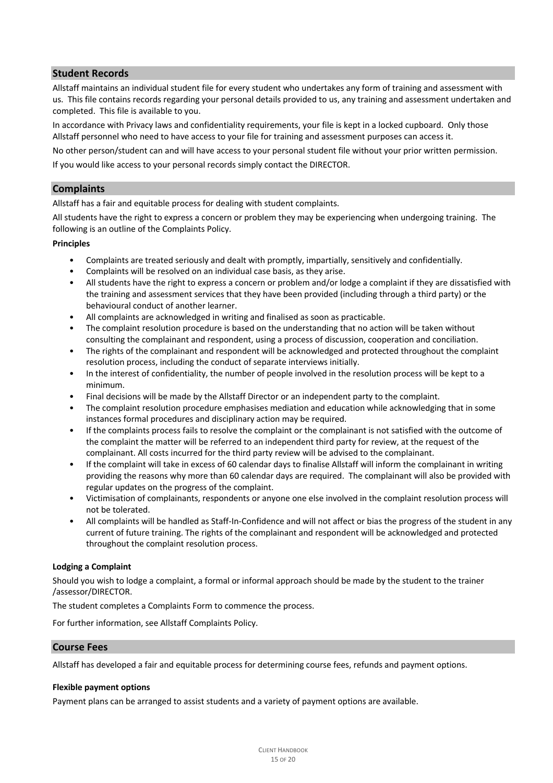#### **Student Records**

Allstaff maintains an individual student file for every student who undertakes any form of training and assessment with us. This file contains records regarding your personal details provided to us, any training and assessment undertaken and completed. This file is available to you.

In accordance with Privacy laws and confidentiality requirements, your file is kept in a locked cupboard. Only those Allstaff personnel who need to have access to your file for training and assessment purposes can access it.

No other person/student can and will have access to your personal student file without your prior written permission.

If you would like access to your personal records simply contact the DIRECTOR.

#### **Complaints**

Allstaff has a fair and equitable process for dealing with student complaints.

All students have the right to express a concern or problem they may be experiencing when undergoing training. The following is an outline of the Complaints Policy.

#### **Principles**

- Complaints are treated seriously and dealt with promptly, impartially, sensitively and confidentially.
- Complaints will be resolved on an individual case basis, as they arise.
- All students have the right to express a concern or problem and/or lodge a complaint if they are dissatisfied with the training and assessment services that they have been provided (including through a third party) or the behavioural conduct of another learner.
- All complaints are acknowledged in writing and finalised as soon as practicable.
- The complaint resolution procedure is based on the understanding that no action will be taken without consulting the complainant and respondent, using a process of discussion, cooperation and conciliation.
- The rights of the complainant and respondent will be acknowledged and protected throughout the complaint resolution process, including the conduct of separate interviews initially.
- In the interest of confidentiality, the number of people involved in the resolution process will be kept to a minimum.
- Final decisions will be made by the Allstaff Director or an independent party to the complaint.
- The complaint resolution procedure emphasises mediation and education while acknowledging that in some instances formal procedures and disciplinary action may be required.
- If the complaints process fails to resolve the complaint or the complainant is not satisfied with the outcome of the complaint the matter will be referred to an independent third party for review, at the request of the complainant. All costs incurred for the third party review will be advised to the complainant.
- If the complaint will take in excess of 60 calendar days to finalise Allstaff will inform the complainant in writing providing the reasons why more than 60 calendar days are required. The complainant will also be provided with regular updates on the progress of the complaint.
- Victimisation of complainants, respondents or anyone one else involved in the complaint resolution process will not be tolerated.
- All complaints will be handled as Staff-In-Confidence and will not affect or bias the progress of the student in any current of future training. The rights of the complainant and respondent will be acknowledged and protected throughout the complaint resolution process.

#### **Lodging a Complaint**

Should you wish to lodge a complaint, a formal or informal approach should be made by the student to the trainer /assessor/DIRECTOR.

The student completes a Complaints Form to commence the process.

For further information, see Allstaff Complaints Policy.

#### **Course Fees**

Allstaff has developed a fair and equitable process for determining course fees, refunds and payment options.

#### **Flexible payment options**

Payment plans can be arranged to assist students and a variety of payment options are available.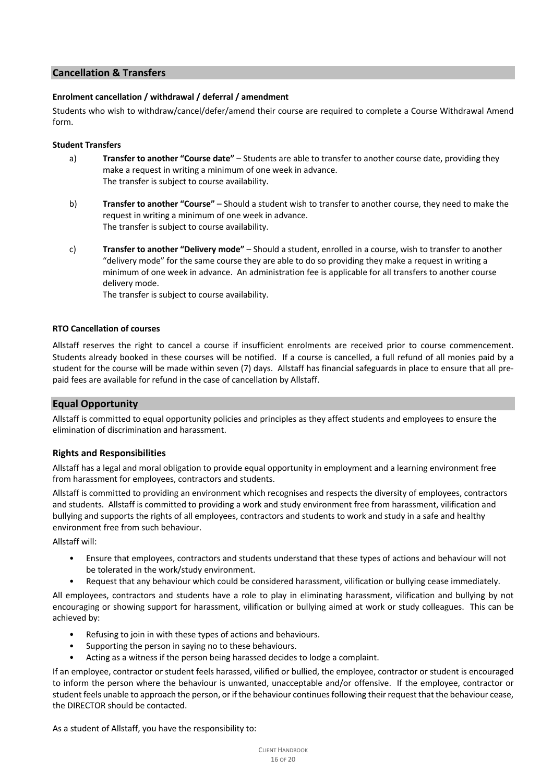#### **Cancellation & Transfers**

#### **Enrolment cancellation / withdrawal / deferral / amendment**

Students who wish to withdraw/cancel/defer/amend their course are required to complete a Course Withdrawal Amend form.

#### **Student Transfers**

- a) **Transfer to another "Course date"** Students are able to transfer to another course date, providing they make a request in writing a minimum of one week in advance. The transfer is subject to course availability.
- b) **Transfer to another "Course"** Should a student wish to transfer to another course, they need to make the request in writing a minimum of one week in advance. The transfer is subject to course availability.
- c) **Transfer to another "Delivery mode"** Should a student, enrolled in a course, wish to transfer to another "delivery mode" for the same course they are able to do so providing they make a request in writing a minimum of one week in advance. An administration fee is applicable for all transfers to another course delivery mode.

The transfer is subject to course availability.

#### **RTO Cancellation of courses**

Allstaff reserves the right to cancel a course if insufficient enrolments are received prior to course commencement. Students already booked in these courses will be notified. If a course is cancelled, a full refund of all monies paid by a student for the course will be made within seven (7) days. Allstaff has financial safeguards in place to ensure that all prepaid fees are available for refund in the case of cancellation by Allstaff.

#### **Equal Opportunity**

Allstaff is committed to equal opportunity policies and principles as they affect students and employees to ensure the elimination of discrimination and harassment.

#### **Rights and Responsibilities**

Allstaff has a legal and moral obligation to provide equal opportunity in employment and a learning environment free from harassment for employees, contractors and students.

Allstaff is committed to providing an environment which recognises and respects the diversity of employees, contractors and students. Allstaff is committed to providing a work and study environment free from harassment, vilification and bullying and supports the rights of all employees, contractors and students to work and study in a safe and healthy environment free from such behaviour.

Allstaff will:

- Ensure that employees, contractors and students understand that these types of actions and behaviour will not be tolerated in the work/study environment.
- Request that any behaviour which could be considered harassment, vilification or bullying cease immediately.

All employees, contractors and students have a role to play in eliminating harassment, vilification and bullying by not encouraging or showing support for harassment, vilification or bullying aimed at work or study colleagues. This can be achieved by:

- Refusing to join in with these types of actions and behaviours.
- Supporting the person in saying no to these behaviours.
- Acting as a witness if the person being harassed decides to lodge a complaint.

If an employee, contractor or student feels harassed, vilified or bullied, the employee, contractor or student is encouraged to inform the person where the behaviour is unwanted, unacceptable and/or offensive. If the employee, contractor or student feels unable to approach the person, or if the behaviour continues following their request that the behaviour cease, the DIRECTOR should be contacted.

As a student of Allstaff, you have the responsibility to: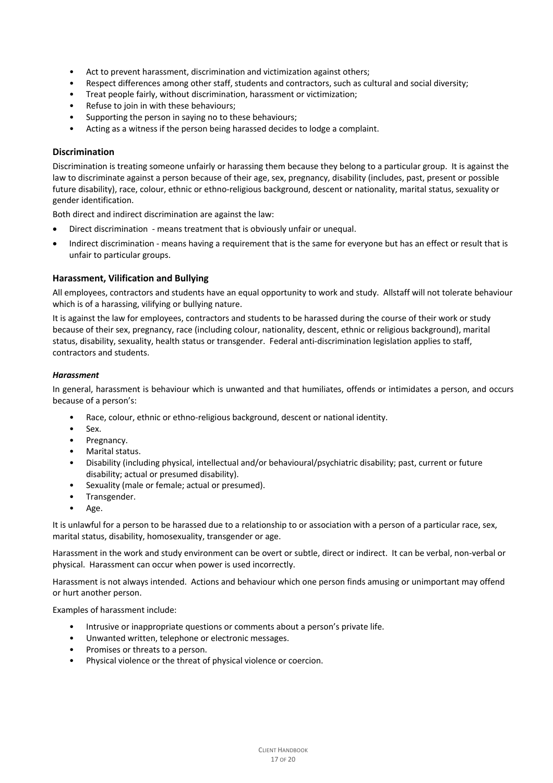- Act to prevent harassment, discrimination and victimization against others;
- Respect differences among other staff, students and contractors, such as cultural and social diversity;
- Treat people fairly, without discrimination, harassment or victimization;
- Refuse to join in with these behaviours;
- Supporting the person in saying no to these behaviours;
- Acting as a witness if the person being harassed decides to lodge a complaint.

#### **Discrimination**

Discrimination is treating someone unfairly or harassing them because they belong to a particular group. It is against the law to discriminate against a person because of their age, sex, pregnancy, disability (includes, past, present or possible future disability), race, colour, ethnic or ethno-religious background, descent or nationality, marital status, sexuality or gender identification.

Both direct and indirect discrimination are against the law:

- Direct discrimination means treatment that is obviously unfair or unequal.
- Indirect discrimination means having a requirement that is the same for everyone but has an effect or result that is unfair to particular groups.

#### **Harassment, Vilification and Bullying**

All employees, contractors and students have an equal opportunity to work and study. Allstaff will not tolerate behaviour which is of a harassing, vilifying or bullying nature.

It is against the law for employees, contractors and students to be harassed during the course of their work or study because of their sex, pregnancy, race (including colour, nationality, descent, ethnic or religious background), marital status, disability, sexuality, health status or transgender. Federal anti-discrimination legislation applies to staff, contractors and students.

#### *Harassment*

In general, harassment is behaviour which is unwanted and that humiliates, offends or intimidates a person, and occurs because of a person's:

- Race, colour, ethnic or ethno-religious background, descent or national identity.
- Sex.
- Pregnancy.
- Marital status.
- Disability (including physical, intellectual and/or behavioural/psychiatric disability; past, current or future disability; actual or presumed disability).
- Sexuality (male or female; actual or presumed).
- Transgender.
- Age.

It is unlawful for a person to be harassed due to a relationship to or association with a person of a particular race, sex, marital status, disability, homosexuality, transgender or age.

Harassment in the work and study environment can be overt or subtle, direct or indirect. It can be verbal, non-verbal or physical. Harassment can occur when power is used incorrectly.

Harassment is not always intended. Actions and behaviour which one person finds amusing or unimportant may offend or hurt another person.

Examples of harassment include:

- Intrusive or inappropriate questions or comments about a person's private life.
- Unwanted written, telephone or electronic messages.
- Promises or threats to a person.
- Physical violence or the threat of physical violence or coercion.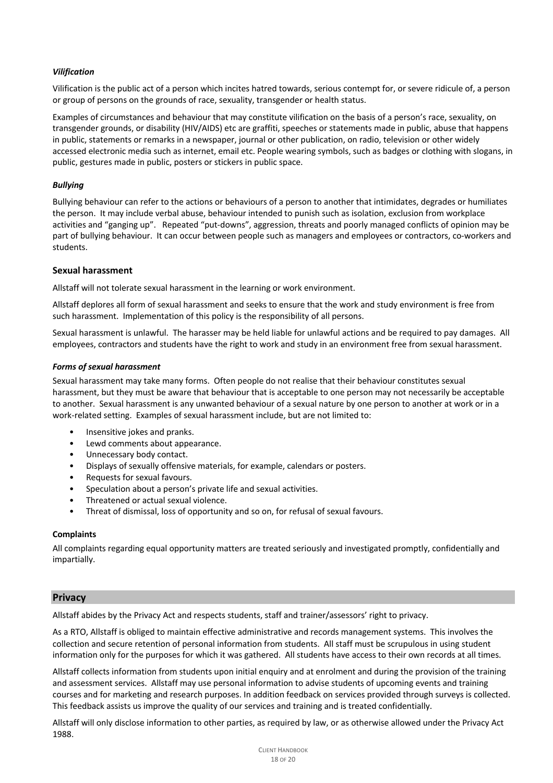#### *Vilification*

Vilification is the public act of a person which incites hatred towards, serious contempt for, or severe ridicule of, a person or group of persons on the grounds of race, sexuality, transgender or health status.

Examples of circumstances and behaviour that may constitute vilification on the basis of a person's race, sexuality, on transgender grounds, or disability (HIV/AIDS) etc are graffiti, speeches or statements made in public, abuse that happens in public, statements or remarks in a newspaper, journal or other publication, on radio, television or other widely accessed electronic media such as internet, email etc. People wearing symbols, such as badges or clothing with slogans, in public, gestures made in public, posters or stickers in public space.

#### *Bullying*

Bullying behaviour can refer to the actions or behaviours of a person to another that intimidates, degrades or humiliates the person. It may include verbal abuse, behaviour intended to punish such as isolation, exclusion from workplace activities and "ganging up". Repeated "put-downs", aggression, threats and poorly managed conflicts of opinion may be part of bullying behaviour. It can occur between people such as managers and employees or contractors, co-workers and students.

#### **Sexual harassment**

Allstaff will not tolerate sexual harassment in the learning or work environment.

Allstaff deplores all form of sexual harassment and seeks to ensure that the work and study environment is free from such harassment. Implementation of this policy is the responsibility of all persons.

Sexual harassment is unlawful. The harasser may be held liable for unlawful actions and be required to pay damages. All employees, contractors and students have the right to work and study in an environment free from sexual harassment.

#### *Forms of sexual harassment*

Sexual harassment may take many forms. Often people do not realise that their behaviour constitutes sexual harassment, but they must be aware that behaviour that is acceptable to one person may not necessarily be acceptable to another. Sexual harassment is any unwanted behaviour of a sexual nature by one person to another at work or in a work-related setting. Examples of sexual harassment include, but are not limited to:

- Insensitive jokes and pranks.
- Lewd comments about appearance.
- Unnecessary body contact.
- Displays of sexually offensive materials, for example, calendars or posters.
- Requests for sexual favours.
- Speculation about a person's private life and sexual activities.
- Threatened or actual sexual violence.
- Threat of dismissal, loss of opportunity and so on, for refusal of sexual favours.

#### **Complaints**

All complaints regarding equal opportunity matters are treated seriously and investigated promptly, confidentially and impartially.

#### **Privacy**

Allstaff abides by the Privacy Act and respects students, staff and trainer/assessors' right to privacy.

As a RTO, Allstaff is obliged to maintain effective administrative and records management systems. This involves the collection and secure retention of personal information from students. All staff must be scrupulous in using student information only for the purposes for which it was gathered. All students have access to their own records at all times.

Allstaff collects information from students upon initial enquiry and at enrolment and during the provision of the training and assessment services. Allstaff may use personal information to advise students of upcoming events and training courses and for marketing and research purposes. In addition feedback on services provided through surveys is collected. This feedback assists us improve the quality of our services and training and is treated confidentially.

Allstaff will only disclose information to other parties, as required by law, or as otherwise allowed under the Privacy Act 1988.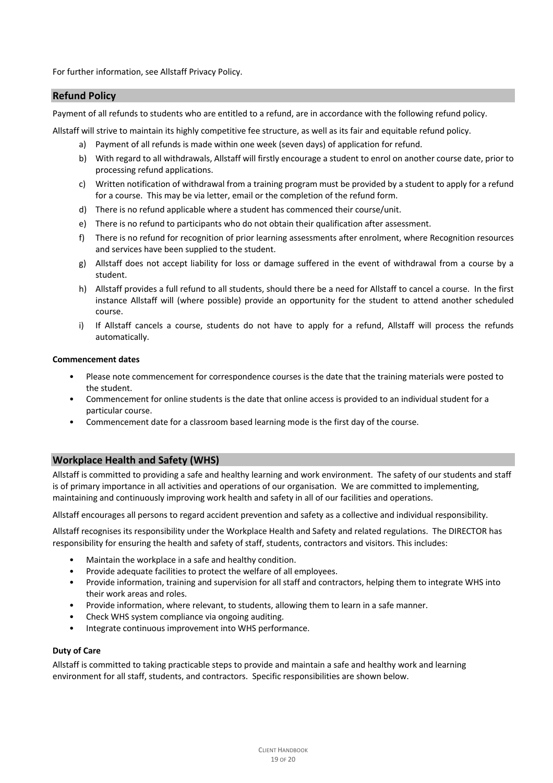For further information, see Allstaff Privacy Policy.

#### **Refund Policy**

Payment of all refunds to students who are entitled to a refund, are in accordance with the following refund policy.

Allstaff will strive to maintain its highly competitive fee structure, as well as its fair and equitable refund policy.

- a) Payment of all refunds is made within one week (seven days) of application for refund.
- b) With regard to all withdrawals, Allstaff will firstly encourage a student to enrol on another course date, prior to processing refund applications.
- c) Written notification of withdrawal from a training program must be provided by a student to apply for a refund for a course. This may be via letter, email or the completion of the refund form.
- d) There is no refund applicable where a student has commenced their course/unit.
- e) There is no refund to participants who do not obtain their qualification after assessment.
- f) There is no refund for recognition of prior learning assessments after enrolment, where Recognition resources and services have been supplied to the student.
- g) Allstaff does not accept liability for loss or damage suffered in the event of withdrawal from a course by a student.
- h) Allstaff provides a full refund to all students, should there be a need for Allstaff to cancel a course. In the first instance Allstaff will (where possible) provide an opportunity for the student to attend another scheduled course.
- i) If Allstaff cancels a course, students do not have to apply for a refund, Allstaff will process the refunds automatically.

#### **Commencement dates**

- Please note commencement for correspondence courses is the date that the training materials were posted to the student.
- Commencement for online students is the date that online access is provided to an individual student for a particular course.
- Commencement date for a classroom based learning mode is the first day of the course.

#### **Workplace Health and Safety (WHS)**

Allstaff is committed to providing a safe and healthy learning and work environment. The safety of our students and staff is of primary importance in all activities and operations of our organisation. We are committed to implementing, maintaining and continuously improving work health and safety in all of our facilities and operations.

Allstaff encourages all persons to regard accident prevention and safety as a collective and individual responsibility.

Allstaff recognises its responsibility under the Workplace Health and Safety and related regulations. The DIRECTOR has responsibility for ensuring the health and safety of staff, students, contractors and visitors. This includes:

- Maintain the workplace in a safe and healthy condition.
- Provide adequate facilities to protect the welfare of all employees.
- Provide information, training and supervision for all staff and contractors, helping them to integrate WHS into their work areas and roles.
- Provide information, where relevant, to students, allowing them to learn in a safe manner.
- Check WHS system compliance via ongoing auditing.
- Integrate continuous improvement into WHS performance.

#### **Duty of Care**

Allstaff is committed to taking practicable steps to provide and maintain a safe and healthy work and learning environment for all staff, students, and contractors. Specific responsibilities are shown below.